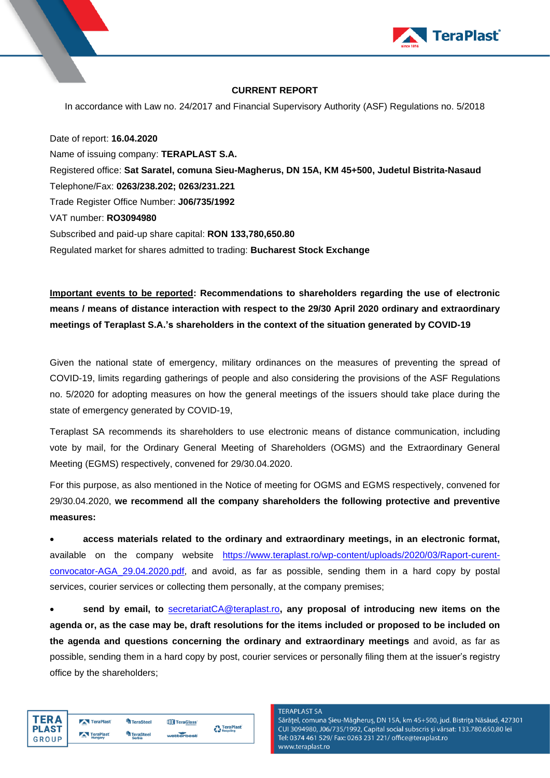

## **CURRENT REPORT**

In accordance with Law no. 24/2017 and Financial Supervisory Authority (ASF) Regulations no. 5/2018

Date of report: **16.04.2020** Name of issuing company: **TERAPLAST S.A.** Registered office: **Sat Saratel, comuna Sieu-Magherus, DN 15A, KM 45+500, Judetul Bistrita-Nasaud** Telephone/Fax: **0263/238.202; 0263/231.221** Trade Register Office Number: **J06/735/1992** VAT number: **RO3094980** Subscribed and paid-up share capital: **RON 133,780,650.80** Regulated market for shares admitted to trading: **Bucharest Stock Exchange**

**Important events to be reported: Recommendations to shareholders regarding the use of electronic means / means of distance interaction with respect to the 29/30 April 2020 ordinary and extraordinary meetings of Teraplast S.A.'s shareholders in the context of the situation generated by COVID-19**

Given the national state of emergency, military ordinances on the measures of preventing the spread of COVID-19, limits regarding gatherings of people and also considering the provisions of the ASF Regulations no. 5/2020 for adopting measures on how the general meetings of the issuers should take place during the state of emergency generated by COVID-19,

Teraplast SA recommends its shareholders to use electronic means of distance communication, including vote by mail, for the Ordinary General Meeting of Shareholders (OGMS) and the Extraordinary General Meeting (EGMS) respectively, convened for 29/30.04.2020.

For this purpose, as also mentioned in the Notice of meeting for OGMS and EGMS respectively, convened for 29/30.04.2020, **we recommend all the company shareholders the following protective and preventive measures:**

• **access materials related to the ordinary and extraordinary meetings, in an electronic format,** available on the company website [https://www.teraplast.ro/wp-content/uploads/2020/03/Raport-curent](https://www.teraplast.ro/wp-content/uploads/2020/03/Raport-curent-convocator-AGA_29.04.2020.pdf)[convocator-AGA\\_29.04.2020.pdf,](https://www.teraplast.ro/wp-content/uploads/2020/03/Raport-curent-convocator-AGA_29.04.2020.pdf) and avoid, as far as possible, sending them in a hard copy by postal services, courier services or collecting them personally, at the company premises;

• **send by email, to** [secretariatCA@teraplast.ro](mailto:secretariatCA@teraplast.ro)**, any proposal of introducing new items on the agenda or, as the case may be, draft resolutions for the items included or proposed to be included on the agenda and questions concerning the ordinary and extraordinary meetings** and avoid, as far as possible, sending them in a hard copy by post, courier services or personally filing them at the issuer's registry office by the shareholders;

| TFR A        | TeraPlast               | <sup>L</sup> a TeraSteel | TeraGlass  | <b>A</b> TeraPlast |
|--------------|-------------------------|--------------------------|------------|--------------------|
| <b>PLAST</b> | TeraPlast               | TeraSteel                |            | Recycling          |
| GROUP        | <b>COLOR</b><br>Hungary | <b>Serbia</b>            | wetterbest |                    |

**TERAPLAST SA** 

Sărățel, comuna Șieu-Măgheruș, DN 15A, km 45+500, jud. Bistrița Năsăud, 427301 CUI 3094980, J06/735/1992, Capital social subscris și vărsat: 133.780.650,80 lei Tel: 0374 461 529/ Fax: 0263 231 221/ office@teraplast.ro www.teraplast.ro